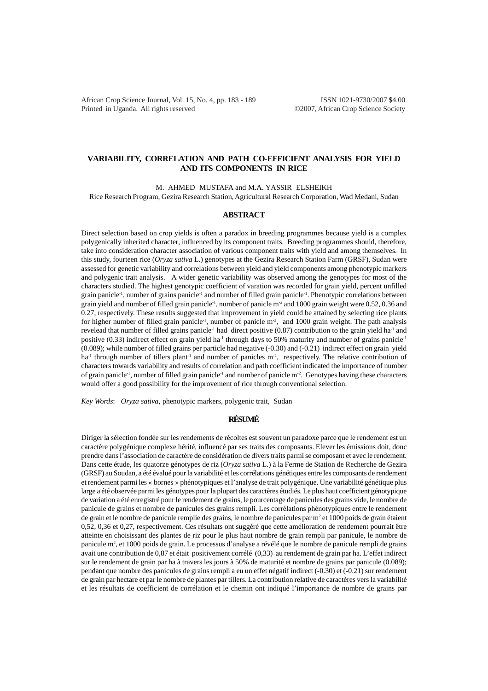African Crop Science Journal, Vol. 15, No. 4, pp. 183 - 189 ISSN 1021-9730/2007 \$4.00 Printed in Uganda. All rights reserved ©2007, African Crop Science Society

# **VARIABILITY, CORRELATION AND PATH CO-EFFICIENT ANALYSIS FOR YIELD AND ITS COMPONENTS IN RICE**

M. AHMED MUSTAFA and M.A. YASSIR ELSHEIKH

Rice Research Program, Gezira Research Station, Agricultural Research Corporation, Wad Medani, Sudan

### **ABSTRACT**

Direct selection based on crop yields is often a paradox in breeding programmes because yield is a complex polygenically inherited character, influenced by its component traits. Breeding programmes should, therefore, take into consideration character association of various component traits with yield and among themselves. In this study, fourteen rice (*Oryza sativa* L.) genotypes at the Gezira Research Station Farm (GRSF), Sudan were assessed for genetic variability and correlations between yield and yield components among phenotypic markers and polygenic trait analysis. A wider genetic variability was observed among the genotypes for most of the characters studied. The highest genotypic coefficient of varation was recorded for grain yield, percent unfilled grain panicle-1, number of grains panicle-1 and number of filled grain panicle-1. Phenotypic correlations between grain yield and number of filled grain panicle<sup>-1</sup>, number of panicle m<sup>-2</sup> and 1000 grain weight were 0.52, 0.36 and 0.27, respectively. These results suggested that improvement in yield could be attained by selecting rice plants for higher number of filled grain panicle<sup>-1</sup>, number of panicle  $m<sup>2</sup>$ , and 1000 grain weight. The path analysis revelead that number of filled grains panicle<sup>-1</sup> had direct positive (0.87) contribution to the grain yield ha<sup>-1</sup> and positive (0.33) indirect effect on grain yield ha<sup>-1</sup> through days to 50% maturity and number of grains panicle<sup>-1</sup> (0.089); while number of filled grains per particle had negative (-0.30) and (-0.21) indirect effect on grain yield  $ha^{-1}$  through number of tillers plant<sup>-1</sup> and number of panicles  $m^2$ , respectively. The relative contribution of characters towards variability and results of correlation and path coefficient indicated the importance of number of grain panicle<sup>-1</sup>, number of filled grain panicle<sup>-1</sup> and number of panicle  $m<sup>2</sup>$ . Genotypes having these characters would offer a good possibility for the improvement of rice through conventional selection.

*Key Words*: *Oryza sativa*, phenotypic markers, polygenic trait, Sudan

## **RÉSUMÉ**

Diriger la sélection fondée sur les rendements de récoltes est souvent un paradoxe parce que le rendement est un caractère polygénique complexe hérité, influencé par ses traits des composants. Elever les émissions doit, donc prendre dans l'association de caractère de considération de divers traits parmi se composant et avec le rendement. Dans cette étude, les quatorze génotypes de riz (*Oryza sativa* L.) à la Ferme de Station de Recherche de Gezira (GRSF) au Soudan, a été évalué pour la variabilité et les corrélations génétiques entre les composants de rendement et rendement parmi les « bornes » phénotypiques et l'analyse de trait polygénique. Une variabilité génétique plus large a été observée parmi les génotypes pour la plupart des caractères étudiés. Le plus haut coefficient génotypique de variation a été enregistré pour le rendement de grains, le pourcentage de panicules des grains vide, le nombre de panicule de grains et nombre de panicules des grains rempli. Les corrélations phénotypiques entre le rendement de grain et le nombre de panicule remplie des grains, le nombre de panicules par m<sup>2</sup> et 1000 poids de grain étaient 0,52, 0,36 et 0,27, respectivement. Ces résultats ont suggéré que cette amélioration de rendement pourrait être atteinte en choisissant des plantes de riz pour le plus haut nombre de grain rempli par panicule, le nombre de panicule m2 , et 1000 poids de grain. Le processus d'analyse a révélé que le nombre de panicule rempli de grains avait une contribution de 0,87 et était positivement corrélé (0,33) au rendement de grain par ha. L'effet indirect sur le rendement de grain par ha à travers les jours à 50% de maturité et nombre de grains par panicule (0.089); pendant que nombre des panicules de grains rempli a eu un effet négatif indirect (-0.30) et (-0.21) sur rendement de grain par hectare et par le nombre de plantes par tillers. La contribution relative de caractères vers la variabilité et les résultats de coefficient de corrélation et le chemin ont indiqué l'importance de nombre de grains par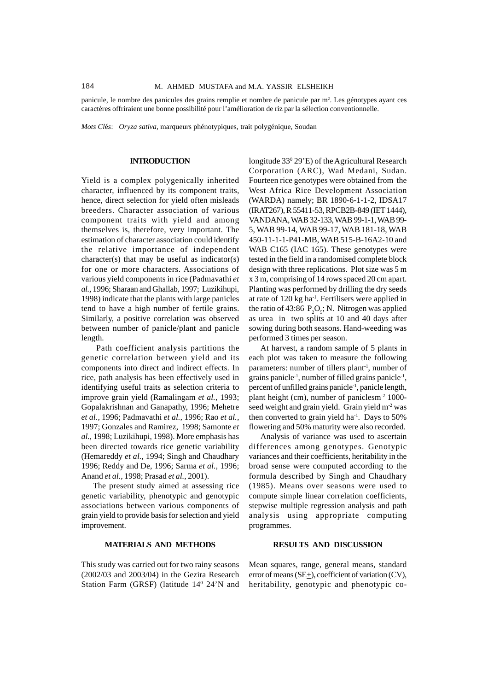panicule, le nombre des panicules des grains remplie et nombre de panicule par m<sup>2</sup>. Les génotypes ayant ces caractères offriraient une bonne possibilité pour l'amélioration de riz par la sélection conventionnelle.

*Mots Cl*é*s*: *Oryza sativa*, marqueurs phénotypiques, trait polygénique, Soudan

#### **INTRODUCTION**

Yield is a complex polygenically inherited character, influenced by its component traits, hence, direct selection for yield often misleads breeders. Character association of various component traits with yield and among themselves is, therefore, very important. The estimation of character association could identify the relative importance of independent character(s) that may be useful as indicator(s) for one or more characters. Associations of various yield components in rice (Padmavathi *et al.,* 1996; Sharaan and Ghallab, 1997; Luzikihupi, 1998) indicate that the plants with large panicles tend to have a high number of fertile grains. Similarly, a positive correlation was observed between number of panicle/plant and panicle length.

 Path coefficient analysis partitions the genetic correlation between yield and its components into direct and indirect effects. In rice, path analysis has been effectively used in identifying useful traits as selection criteria to improve grain yield (Ramalingam *et al.,* 1993; Gopalakrishnan and Ganapathy, 1996; Mehetre *et al.,* 1996; Padmavathi *et al.,* 1996; Rao *et al.,* 1997; Gonzales and Ramirez, 1998; Samonte *et al.,* 1998; Luzikihupi, 1998). More emphasis has been directed towards rice genetic variability (Hemareddy *et al.,* 1994; Singh and Chaudhary 1996; Reddy and De, 1996; Sarma *et al.,* 1996; Anand *et al.,* 1998; Prasad *et al.,* 2001).

The present study aimed at assessing rice genetic variability, phenotypic and genotypic associations between various components of grain yield to provide basis for selection and yield improvement.

## **MATERIALS AND METHODS**

This study was carried out for two rainy seasons (2002/03 and 2003/04) in the Gezira Research Station Farm (GRSF) (latitude 14<sup>0</sup> 24'N and

longitude 33<sup>0</sup> 29'E) of the Agricultural Research Corporation (ARC), Wad Medani, Sudan. Fourteen rice genotypes were obtained from the West Africa Rice Development Association (WARDA) namely; BR 1890-6-1-1-2, IDSA17 (IRAT267), R 55411-53, RPCB2B-849 (IET 1444), VANDANA, WAB 32-133, WAB 99-1-1, WAB 99- 5, WAB 99-14, WAB 99-17, WAB 181-18, WAB 450-11-1-1-P41-MB, WAB 515-B-16A2-10 and WAB C165 (IAC 165). These genotypes were tested in the field in a randomised complete block design with three replications. Plot size was 5 m x 3 m, comprising of 14 rows spaced 20 cm apart. Planting was performed by drilling the dry seeds at rate of 120 kg ha-1. Fertilisers were applied in the ratio of 43:86  $P_2O_s$ ; N. Nitrogen was applied as urea in two splits at 10 and 40 days after sowing during both seasons. Hand-weeding was performed 3 times per season.

At harvest, a random sample of 5 plants in each plot was taken to measure the following parameters: number of tillers plant<sup>-1</sup>, number of grains panicle<sup>-1</sup>, number of filled grains panicle<sup>-1</sup>, percent of unfilled grains panicle<sup>-1</sup>, panicle length, plant height (cm), number of paniclesm-2 1000 seed weight and grain yield. Grain yield m<sup>-2</sup> was then converted to grain yield ha<sup>-1</sup>. Days to  $50\%$ flowering and 50% maturity were also recorded.

Analysis of variance was used to ascertain differences among genotypes. Genotypic variances and their coefficients, heritability in the broad sense were computed according to the formula described by Singh and Chaudhary (1985). Means over seasons were used to compute simple linear correlation coefficients, stepwise multiple regression analysis and path analysis using appropriate computing programmes.

## **RESULTS AND DISCUSSION**

Mean squares, range, general means, standard error of means  $(SE_{+})$ , coefficient of variation (CV), heritability, genotypic and phenotypic co-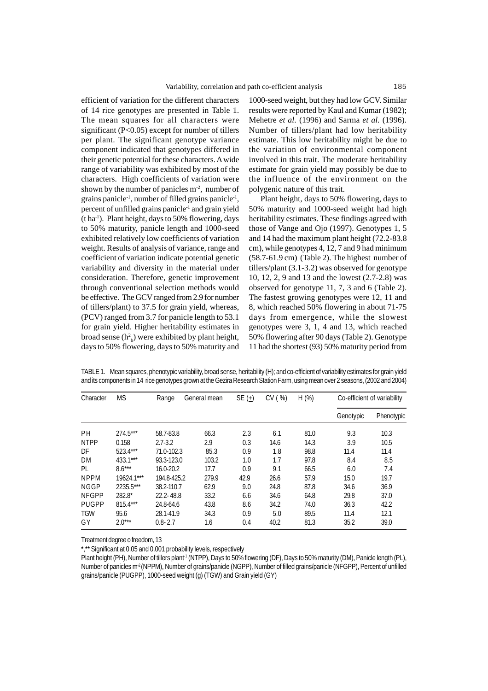efficient of variation for the different characters of 14 rice genotypes are presented in Table 1. The mean squares for all characters were significant (P<0.05) except for number of tillers per plant. The significant genotype variance component indicated that genotypes differed in their genetic potential for these characters. A wide range of variability was exhibited by most of the characters. High coefficients of variation were shown by the number of panicles  $m<sup>2</sup>$ , number of grains panicle<sup>-1</sup>, number of filled grains panicle<sup>-1</sup>, percent of unfilled grains panicle-1 and grain yield (t ha-1). Plant height, days to 50% flowering, days to 50% maturity, panicle length and 1000-seed exhibited relatively low coefficients of variation weight. Results of analysis of variance, range and coefficient of variation indicate potential genetic variability and diversity in the material under consideration. Therefore, genetic improvement through conventional selection methods would be effective. The GCV ranged from 2.9 for number of tillers/plant) to 37.5 for grain yield, whereas, (PCV) ranged from 3.7 for panicle length to 53.1 for grain yield. Higher heritability estimates in broad sense  $(h<sup>2</sup><sub>b</sub>)$  were exhibited by plant height, days to 50% flowering, days to 50% maturity and

1000-seed weight, but they had low GCV. Similar results were reported by Kaul and Kumar (1982); Mehetre *et al.* (1996) and Sarma *et al.* (1996). Number of tillers/plant had low heritability estimate. This low heritability might be due to the variation of environmental component involved in this trait. The moderate heritability estimate for grain yield may possibly be due to the influence of the environment on the polygenic nature of this trait.

Plant height, days to 50% flowering, days to 50% maturity and 1000-seed weight had high heritability estimates. These findings agreed with those of Vange and Ojo (1997). Genotypes 1, 5 and 14 had the maximum plant height (72.2-83.8 cm), while genotypes 4, 12, 7 and 9 had minimum (58.7-61.9 cm) (Table 2). The highest number of tillers/plant (3.1-3.2) was observed for genotype 10, 12, 2, 9 and 13 and the lowest (2.7-2.8) was observed for genotype 11, 7, 3 and 6 (Table 2). The fastest growing genotypes were 12, 11 and 8, which reached 50% flowering in about 71-75 days from emergence, while the slowest genotypes were 3, 1, 4 and 13, which reached 50% flowering after 90 days (Table 2). Genotype 11 had the shortest (93) 50% maturity period from

| Character    | <b>MS</b>  | Range         | General mean | SE $(\pm)$ | CV (%) | H (%) | Co-efficient of variability |            |  |
|--------------|------------|---------------|--------------|------------|--------|-------|-----------------------------|------------|--|
|              |            |               |              |            |        |       | Genotypic                   | Phenotypic |  |
| <b>PH</b>    | 274.5***   | 58.7-83.8     | 66.3         | 2.3        | 6.1    | 81.0  | 9.3                         | 10.3       |  |
| <b>NTPP</b>  | 0.158      | $2.7 - 3.2$   | 2.9          | 0.3        | 14.6   | 14.3  | 3.9                         | 10.5       |  |
| DF           | 523.4***   | 71.0-102.3    | 85.3         | 0.9        | 1.8    | 98.8  | 11.4                        | 11.4       |  |
| DM           | 433.1***   | 93.3-123.0    | 103.2        | 1.0        | 1.7    | 97.8  | 8.4                         | 8.5        |  |
| PL           | $8.6***$   | 16.0-20.2     | 17.7         | 0.9        | 9.1    | 66.5  | 6.0                         | 7.4        |  |
| <b>NPPM</b>  | 19624.1*** | 194.8-425.2   | 279.9        | 42.9       | 26.6   | 57.9  | 15.0                        | 19.7       |  |
| <b>NGGP</b>  | 2235.5***  | 38.2-110.7    | 62.9         | 9.0        | 24.8   | 87.8  | 34.6                        | 36.9       |  |
| <b>NFGPP</b> | $282.8*$   | $22.2 - 48.8$ | 33.2         | 6.6        | 34.6   | 64.8  | 29.8                        | 37.0       |  |
| <b>PUGPP</b> | $815.4***$ | 24.8-64.6     | 43.8         | 8.6        | 34.2   | 74.0  | 36.3                        | 42.2       |  |
| <b>TGW</b>   | 95.6       | 28.1-41.9     | 34.3         | 0.9        | 5.0    | 89.5  | 11.4                        | 12.1       |  |
| GY           | $2.0***$   | $0.8 - 2.7$   | 1.6          | 0.4        | 40.2   | 81.3  | 35.2                        | 39.0       |  |

TABLE 1. Mean squares, phenotypic variability, broad sense, heritability (H); and co-efficient of variability estimates for grain yield and its components in 14 rice genotypes grown at the Gezira Research Station Farm, using mean over 2 seasons, (2002 and 2004)

Treatment degree o freedom, 13

\*,\*\* Significant at 0.05 and 0.001 probability levels, respectively

Plant height (PH), Number of tillers plant<sup>-1</sup> (NTPP), Days to 50% flowering (DF), Days to 50% maturity (DM), Panicle length (PL), Number of panicles m<sup>-2</sup> (NPPM), Number of grains/panicle (NGPP), Number of filled grains/panicle (NFGPP), Percent of unfilled grains/panicle (PUGPP), 1000-seed weight (g) (TGW) and Grain yield (GY)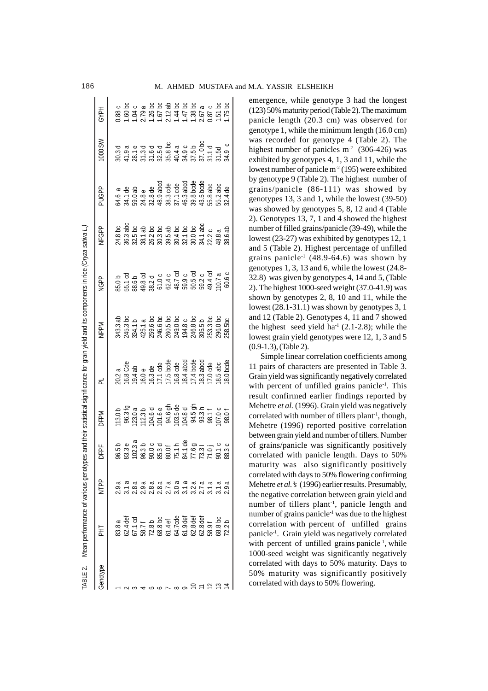| ABLE 2. Mean performance of various genoty |                                                                     |      |             |                         | bes and their statistical significance for grain yield and its components in rice (Oryza sativa Li |             |                                                                                                                                                                                                                                |       |               |             |
|--------------------------------------------|---------------------------------------------------------------------|------|-------------|-------------------------|----------------------------------------------------------------------------------------------------|-------------|--------------------------------------------------------------------------------------------------------------------------------------------------------------------------------------------------------------------------------|-------|---------------|-------------|
| 굴                                          | NTPP                                                                | DFPF | <b>DFPM</b> | $\overline{\mathsf{d}}$ | <b>MddN</b>                                                                                        | <b>NGPP</b> | <b>NFGPP</b>                                                                                                                                                                                                                   | PUGPP | <b>MS 000</b> | <b>GYPH</b> |
|                                            | 2.9a                                                                |      |             |                         |                                                                                                    |             |                                                                                                                                                                                                                                |       |               |             |
|                                            |                                                                     |      |             |                         |                                                                                                    |             |                                                                                                                                                                                                                                |       |               |             |
|                                            | $2.8a$<br>$2.9a$                                                    |      |             |                         |                                                                                                    |             | $24.8$ $25.8$ $26.8$ $27.8$ $28.8$ $29.8$ $29.8$ $29.8$ $29.8$ $29.8$ $29.8$ $29.8$ $29.8$ $29.8$ $29.8$ $29.8$ $29.8$ $29.8$ $29.8$ $29.8$ $29.8$ $29.8$ $29.8$ $29.8$ $29.8$ $29.8$ $29.8$ $29.8$ $29.8$ $29.8$ $29.8$ $29.$ |       |               |             |
|                                            |                                                                     |      |             |                         |                                                                                                    |             |                                                                                                                                                                                                                                |       |               |             |
|                                            |                                                                     |      |             |                         |                                                                                                    |             |                                                                                                                                                                                                                                |       |               |             |
|                                            | a a a a a a a a a a a<br>∞ ∞ r O r O r O r O<br>N N N M M M M M M M |      |             |                         |                                                                                                    |             |                                                                                                                                                                                                                                |       |               |             |
|                                            |                                                                     |      |             |                         |                                                                                                    |             |                                                                                                                                                                                                                                |       |               |             |
|                                            |                                                                     |      |             |                         |                                                                                                    |             |                                                                                                                                                                                                                                |       |               |             |
|                                            |                                                                     |      |             |                         |                                                                                                    |             |                                                                                                                                                                                                                                |       |               |             |
|                                            |                                                                     |      |             |                         |                                                                                                    |             |                                                                                                                                                                                                                                |       |               |             |
|                                            |                                                                     |      |             |                         |                                                                                                    |             |                                                                                                                                                                                                                                |       |               |             |
|                                            |                                                                     |      |             |                         |                                                                                                    |             |                                                                                                                                                                                                                                |       |               |             |
|                                            |                                                                     |      |             |                         |                                                                                                    |             |                                                                                                                                                                                                                                |       |               |             |
|                                            |                                                                     |      |             |                         |                                                                                                    |             |                                                                                                                                                                                                                                |       |               |             |

emergence, while genotype 3 had the longest (123) 50% maturity period (Table 2). The maximum panicle length (20.3 cm) was observed for genotype 1, while the minimum length (16.0 cm) was recorded for genotype 4 (Table 2). The highest number of panicles  $m<sup>2</sup>$  (306-426) was exhibited by genotypes 4, 1, 3 and 11, while the lowest number of panicle  $m<sup>2</sup>$  (195) were exhibited by genotype 9 (Table 2). The highest number of grains/panicle (86-111) was showed by genotypes 13, 3 and 1, while the lowest (39-50) was showed by genotypes 5, 8, 12 and 4 (Table 2). Genotypes 13, 7, 1 and 4 showed the highest number of filled grains/panicle (39-49), while the lowest (23-27) was exhibited by genotypes 12, 1 and 5 (Table 2). Highest percentage of unfilled grains panicle<sup>-1</sup> (48.9-64.6) was shown by genotypes 1, 3, 13 and 6, while the lowest (24.8- 32.8) was given by genotypes 4, 14 and 5, (Table 2). The highest 1000-seed weight (37.0-41.9) was shown by genotypes 2, 8, 10 and 11, while the lowest (28.1-31.1) was shown by genotypes 3, 1 and 12 (Table 2). Genotypes 4, 11 and 7 showed the highest seed yield ha<sup>-1</sup> (2.1-2.8); while the lowest grain yield genotypes were 12, 1, 3 and 5 (0.9-1.3), (Table 2).

Simple linear correlation coefficients among 11 pairs of characters are presented in Table 3. Grain yield was significantly negatively correlated with percent of unfilled grains panicle<sup>-1</sup>. This result confirmed earlier findings reported by Mehetre *et al.* (1996). Grain yield was negatively correlated with number of tillers plant<sup>-1</sup>, though, Mehetre (1996) reported positive correlation between grain yield and number of tillers. Number of grains/panicle was significantly positively correlated with panicle length. Days to 50% maturity was also significantly positively correlated with days to 50% flowering confirming Mehetre *et al.'s* (1996) earlier results. Presumably, the negative correlation between grain yield and number of tillers plant<sup>-1</sup>, panicle length and number of grains panicle-1 was due to the highest correlation with percent of unfilled grains panicle-1. Grain yield was negatively correlated with percent of unfilled grains panicle<sup>-1</sup>, while 1000-seed weight was significantly negatively correlated with days to 50% maturity. Days to 50% maturity was significantly positively correlated with days to 50% flowering.

ABLE 2. Mean performance of various genotypes and their statistical significance for grain vield and its components in rice (Oryza sativa L.)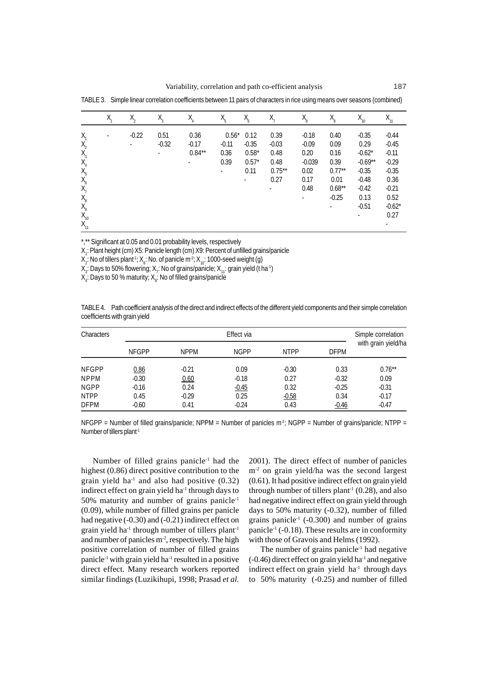|          | Χ. | $X_{2}$ | $X_{3}$ | $X_{4}$  | $X_{5}$       | $X$ <sub>6</sub>         | $X_{7}$   | $X_{\!\scriptscriptstyle\mathrm{R}}^{}$ | $X^{\circ}$ | $X_{10}$  |          |
|----------|----|---------|---------|----------|---------------|--------------------------|-----------|-----------------------------------------|-------------|-----------|----------|
| $X_{1}$  | ٠  | $-0.22$ | 0.51    | 0.36     | $0.56^*$ 0.12 |                          | 0.39      | $-0.18$                                 | 0.40        | $-0.35$   | $-0.44$  |
| $X_{2}$  |    |         | $-0.32$ | $-0.17$  | $-0.11$       | $-0.35$                  | $-0.03$   | $-0.09$                                 | 0.09        | 0.29      | $-0.45$  |
| $X_3$    |    |         |         | $0.84**$ | 0.36          | $0.58*$                  | 0.48      | 0.20                                    | 0.16        | $-0.62*$  | $-0.11$  |
| $X_{4}$  |    |         |         | ٠        | 0.39          | $0.57*$                  | 0.48      | $-0.039$                                | 0.39        | $-0.69**$ | $-0.29$  |
| $X_{5}$  |    |         |         |          | $\sim$        | 0.11                     | $0.75***$ | 0.02                                    | $0.77***$   | $-0.35$   | $-0.35$  |
| $X_6$    |    |         |         |          |               | $\overline{\phantom{a}}$ | 0.27      | 0.17                                    | 0.01        | $-0.48$   | 0.36     |
| $X_7$    |    |         |         |          |               |                          |           | 0.48                                    | $0.68**$    | $-0.42$   | $-0.21$  |
| $X_{8}$  |    |         |         |          |               |                          |           | ٠                                       | $-0.25$     | 0.13      | 0.52     |
| $X_{9}$  |    |         |         |          |               |                          |           |                                         | $\sim$      | $-0.51$   | $-0.62*$ |
| $X_{10}$ |    |         |         |          |               |                          |           |                                         |             |           | 0.27     |
| $X_{11}$ |    |         |         |          |               |                          |           |                                         |             |           |          |

TABLE 3. Simple linear correlation coefficients between 11 pairs of characters in rice using means over seasons (combined)

\*,\*\* Significant at 0.05 and 0.01 probability levels, respectively

X<sub>1</sub>: Plant height (cm) X5: Panicle length (cm) X9: Percent of unfilled grains/panicle

 $X_2$ : No of tillers plant<sup>-1</sup>;  $X_6$ : No. of panicle m<sup>-2</sup>;  $X_{10}$ : 1000-seed weight (g)

X $_{3}$ : Days to 50% flowering; X $_{7}$ : No of grains/panicle; X $_{11}$ : grain yield (t ha $^{\circ}$ )

X<sub>4</sub>: Days to 50 % maturity; X<sub>8</sub>: No of filled grains/panicle

TABLE 4. Path coefficient analysis of the direct and indirect effects of the different yield components and their simple correlation coefficients with grain yield

| <b>Characters</b> |              |             | Effect via  |             |             | Simple correlation  |
|-------------------|--------------|-------------|-------------|-------------|-------------|---------------------|
|                   | <b>NFGPP</b> | <b>NPPM</b> | <b>NGPP</b> | <b>NTPP</b> | <b>DFPM</b> | with grain yield/ha |
| <b>NFGPP</b>      | 0.86         | $-0.21$     | 0.09        | $-0.30$     | 0.33        | $0.76***$           |
| <b>NPPM</b>       | $-0.30$      | 0.60        | $-0.18$     | 0.27        | $-0.32$     | 0.09                |
| <b>NGPP</b>       | $-0.16$      | 0.24        | $-0.45$     | 0.32        | $-0.25$     | $-0.31$             |
| <b>NTPP</b>       | 0.45         | $-0.29$     | 0.25        | $-0.58$     | 0.34        | $-0.17$             |
| <b>DFPM</b>       | $-0.60$      | 0.41        | $-0.24$     | 0.43        | $-0.46$     | $-0.47$             |

NFGPP = Number of filled grains/panicle; NPPM = Number of panicles  $m^2$ ; NGPP = Number of grains/panicle; NTPP = Number of tillers plant-1

Number of filled grains panicle<sup>1</sup> had the highest (0.86) direct positive contribution to the grain yield ha<sup>-1</sup> and also had positive  $(0.32)$ indirect effect on grain yield ha<sup>-1</sup> through days to 50% maturity and number of grains panicle<sup>1</sup> (0.09), while number of filled grains per panicle had negative (-0.30) and (-0.21) indirect effect on grain yield ha<sup> $1$ </sup> through number of tillers plant<sup>1</sup> and number of panicles  $m^2$ , respectively. The high positive correlation of number of filled grains panicle<sup>-1</sup> with grain yield ha<sup>-1</sup> resulted in a positive direct effect. Many research workers reported similar findings (Luzikihupi, 1998; Prasad *et al.*

2001). The direct effect of number of panicles m-2 on grain yield/ha was the second largest (0.61). It had positive indirect effect on grain yield through number of tillers plant<sup>-1</sup> (0.28), and also had negative indirect effect on grain yield through days to 50% maturity (-0.32), number of filled grains panicle<sup>-1</sup> (-0.300) and number of grains panicle<sup>-1</sup> (-0.18). These results are in conformity with those of Gravois and Helms (1992).

The number of grains panicle<sup> $1$ </sup> had negative  $(-0.46)$  direct effect on grain yield ha<sup>-1</sup> and negative indirect effect on grain yield ha<sup>-1</sup> through days to 50% maturity (-0.25) and number of filled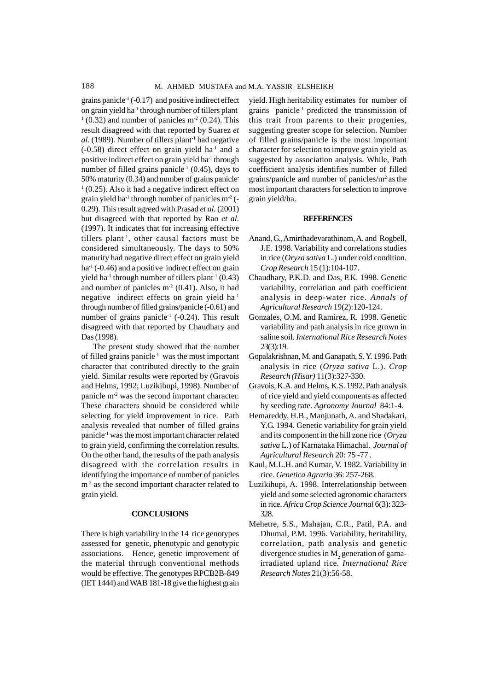grains panicle<sup> $-1$ </sup> ( $-0.17$ ) and positive indirect effect on grain yield ha<sup> $1$ </sup> through number of tillers plant- $1(0.32)$  and number of panicles m<sup>2</sup> (0.24). This result disagreed with that reported by Suarez *et al.* (1989). Number of tillers plant<sup>-1</sup> had negative  $(-0.58)$  direct effect on grain yield ha<sup>-1</sup> and a positive indirect effect on grain yield ha<sup>-1</sup> through number of filled grains panicle<sup>-1</sup> (0.45), days to 50% maturity (0.34) and number of grains panicle- $1(0.25)$ . Also it had a negative indirect effect on grain yield ha<sup>1</sup> through number of panicles  $m<sup>2</sup>$  (-0.29). This result agreed with Prasad *et al.* (2001) but disagreed with that reported by Rao *et al.* (1997). It indicates that for increasing effective tillers plant-1, other causal factors must be considered simultaneously. The days to 50% maturity had negative direct effect on grain yield  $ha^{-1}$  (-0.46) and a positive indirect effect on grain yield ha<sup>-1</sup> through number of tillers plant<sup>-1</sup> (0.43) and number of panicles  $m<sup>2</sup>$  (0.41). Also, it had negative indirect effects on grain yield ha<sup>1</sup> through number of filled grains/panicle (-0.61) and number of grains panicle<sup> $1$ </sup> (-0.24). This result disagreed with that reported by Chaudhary and Das (1998).

The present study showed that the number of filled grains panicle<sup> $1$ </sup> was the most important character that contributed directly to the grain yield. Similar results were reported by (Gravois and Helms, 1992; Luzikihupi, 1998). Number of panicle m-2 was the second important character. These characters should be considered while selecting for yield improvement in rice. Path analysis revealed that number of filled grains panicle-1 was the most important character related to grain yield, confirming the correlation results. On the other hand, the results of the path analysis disagreed with the correlation results in identifying the importance of number of panicles m<sup>-2</sup> as the second important character related to grain yield.

#### **CONCLUSIONS**

There is high variability in the 14 rice genotypes assessed for genetic, phenotypic and genotypic associations. Hence, genetic improvement of the material through conventional methods would be effective. The genotypes RPCB2B-849 (IET 1444) and WAB 181-18 give the highest grain

yield. High heritability estimates for number of grains panicle-1 predicted the transmission of this trait from parents to their progenies, suggesting greater scope for selection. Number of filled grains/panicle is the most important character for selection to improve grain yield as suggested by association analysis. While, Path coefficient analysis identifies number of filled grains/panicle and number of panicles/m2 asthe most important characters for selection to improve grain yield/ha.

#### **REFERENCES**

- Anand, G., Amirthadevarathinam, A. and Rogbell, J.E. 1998. Variability and correlations studies in rice (*Oryza sativa* L.) under cold condition. *Crop Research* 15 (1):104-107.
- Chaudhary, P.K.D. and Das, P.K. 1998. Genetic variability, correlation and path coefficient analysis in deep-water rice. *Annals of Agricultural Research* 19(2):120-124.
- Gonzales, O.M. and Ramirez, R. 1998. Genetic variability and path analysis in rice grown in saline soil. *International Rice Research Notes* 23(3):19.
- Gopalakrishnan, M. and Ganapath, S. Y. 1996. Path analysis in rice (*Oryza sativa* L.). *Crop Research (Hisar)* 11(3):327-330.
- Gravois, K.A. and Helms, K.S. 1992. Path analysis of rice yield and yield components as affected by seeding rate. *Agronomy Journal* 84:1-4.
- Hemareddy, H.B., Manjunath, A. and Shadakari, Y.G. 1994. Genetic variability for grain yield and its component in the hill zone rice (*Oryza sativa* L.) of Karnataka Himachal. *Journal of Agricultural Research* 20: 75 -77 .
- Kaul, M.L.H. and Kumar, V. 1982. Variability in rice. *Genetica Agraria* 36: 257-268.
- Luzikihupi, A. 1998. Interrelationship between yield and some selected agronomic characters in rice. *Africa Crop Science Journal* 6(3): 323- 328.
- Mehetre, S.S., Mahajan, C.R., Patil, P.A. and Dhumal, P.M. 1996. Variability, heritability, correlation, path analysis and genetic divergence studies in  $\text{M}_2$  generation of gamairradiated upland rice. *International Rice Research Notes* 21(3):56-58.